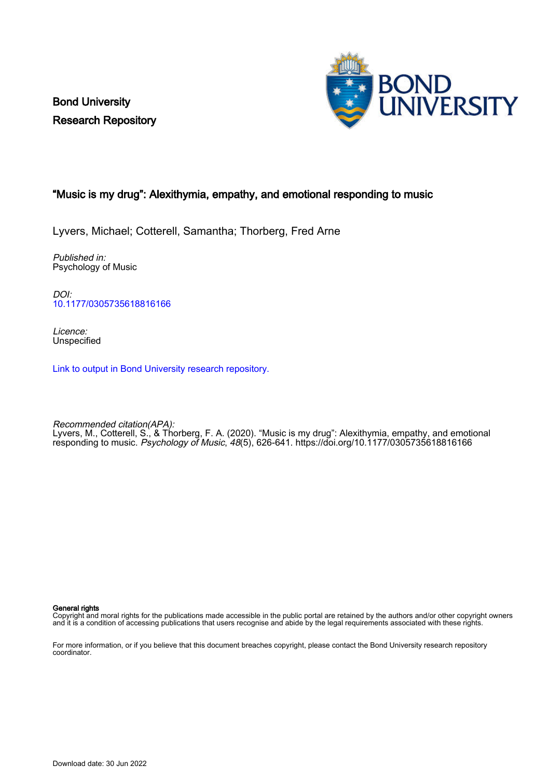Bond University Research Repository



# "Music is my drug": Alexithymia, empathy, and emotional responding to music

Lyvers, Michael; Cotterell, Samantha; Thorberg, Fred Arne

Published in: Psychology of Music

DOI: [10.1177/0305735618816166](https://doi.org/10.1177/0305735618816166)

Licence: **Unspecified** 

[Link to output in Bond University research repository.](https://research.bond.edu.au/en/publications/2133240d-7cb1-45c5-b5e5-d18a2f014c53)

Recommended citation(APA): Lyvers, M., Cotterell, S., & Thorberg, F. A. (2020). "Music is my drug": Alexithymia, empathy, and emotional responding to music. Psychology of Music, 48(5), 626-641. <https://doi.org/10.1177/0305735618816166>

#### General rights

Copyright and moral rights for the publications made accessible in the public portal are retained by the authors and/or other copyright owners and it is a condition of accessing publications that users recognise and abide by the legal requirements associated with these rights.

For more information, or if you believe that this document breaches copyright, please contact the Bond University research repository coordinator.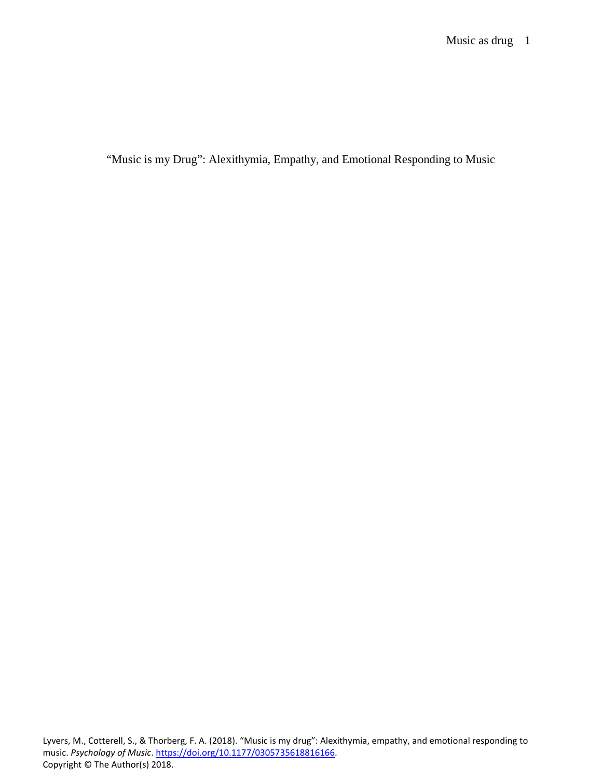"Music is my Drug": Alexithymia, Empathy, and Emotional Responding to Music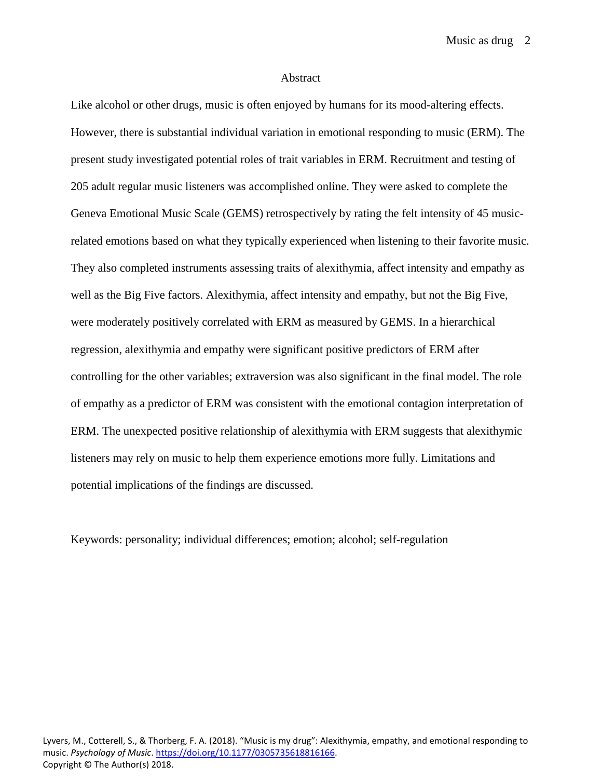Music as drug 2

#### Abstract

Like alcohol or other drugs, music is often enjoyed by humans for its mood-altering effects. However, there is substantial individual variation in emotional responding to music (ERM). The present study investigated potential roles of trait variables in ERM. Recruitment and testing of 205 adult regular music listeners was accomplished online. They were asked to complete the Geneva Emotional Music Scale (GEMS) retrospectively by rating the felt intensity of 45 musicrelated emotions based on what they typically experienced when listening to their favorite music. They also completed instruments assessing traits of alexithymia, affect intensity and empathy as well as the Big Five factors. Alexithymia, affect intensity and empathy, but not the Big Five, were moderately positively correlated with ERM as measured by GEMS. In a hierarchical regression, alexithymia and empathy were significant positive predictors of ERM after controlling for the other variables; extraversion was also significant in the final model. The role of empathy as a predictor of ERM was consistent with the emotional contagion interpretation of ERM. The unexpected positive relationship of alexithymia with ERM suggests that alexithymic listeners may rely on music to help them experience emotions more fully. Limitations and potential implications of the findings are discussed.

Keywords: personality; individual differences; emotion; alcohol; self-regulation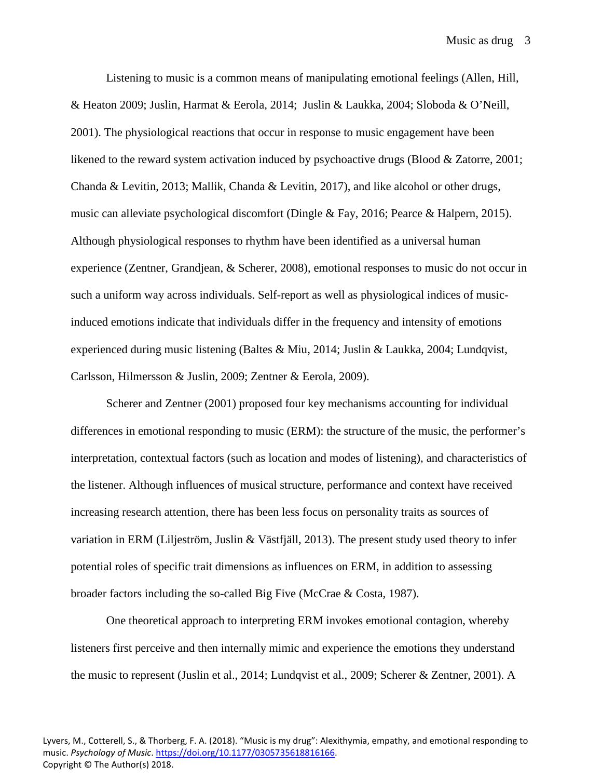Listening to music is a common means of manipulating emotional feelings (Allen, Hill, & Heaton 2009; Juslin, Harmat & Eerola, 2014; Juslin & Laukka, 2004; Sloboda & O'Neill, 2001). The physiological reactions that occur in response to music engagement have been likened to the reward system activation induced by psychoactive drugs (Blood & Zatorre, 2001; Chanda & Levitin, 2013; Mallik, Chanda & Levitin, 2017), and like alcohol or other drugs, music can alleviate psychological discomfort (Dingle & Fay, 2016; Pearce & Halpern, 2015). Although physiological responses to rhythm have been identified as a universal human experience (Zentner, Grandjean, & Scherer, 2008), emotional responses to music do not occur in such a uniform way across individuals. Self-report as well as physiological indices of musicinduced emotions indicate that individuals differ in the frequency and intensity of emotions experienced during music listening (Baltes & Miu, 2014; Juslin & Laukka, 2004; Lundqvist, Carlsson, Hilmersson & Juslin, 2009; Zentner & Eerola, 2009).

Scherer and Zentner (2001) proposed four key mechanisms accounting for individual differences in emotional responding to music (ERM): the structure of the music, the performer's interpretation, contextual factors (such as location and modes of listening), and characteristics of the listener. Although influences of musical structure, performance and context have received increasing research attention, there has been less focus on personality traits as sources of variation in ERM (Liljeström, Juslin & Västfjäll, 2013). The present study used theory to infer potential roles of specific trait dimensions as influences on ERM, in addition to assessing broader factors including the so-called Big Five (McCrae & Costa, 1987).

One theoretical approach to interpreting ERM invokes emotional contagion, whereby listeners first perceive and then internally mimic and experience the emotions they understand the music to represent (Juslin et al., 2014; Lundqvist et al., 2009; Scherer & Zentner, 2001). A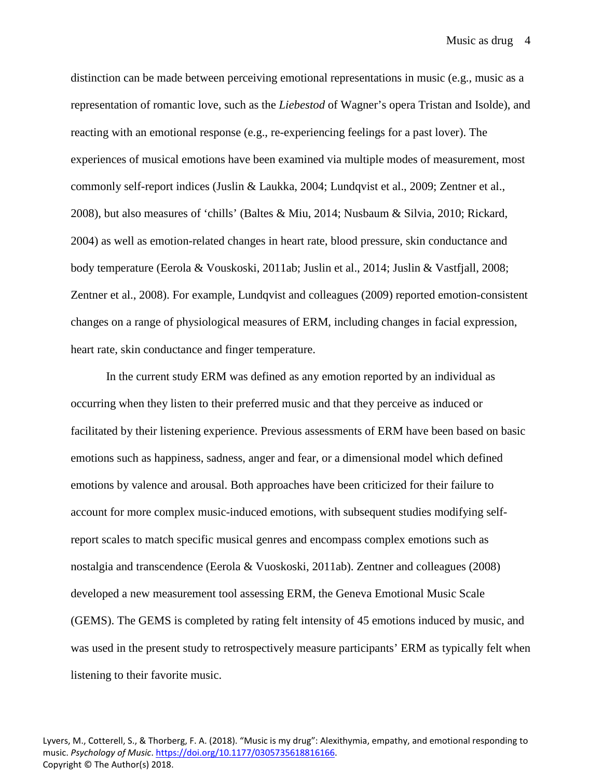Music as drug 4

distinction can be made between perceiving emotional representations in music (e.g., music as a representation of romantic love, such as the *Liebestod* of Wagner's opera Tristan and Isolde), and reacting with an emotional response (e.g., re-experiencing feelings for a past lover). The experiences of musical emotions have been examined via multiple modes of measurement, most commonly self-report indices (Juslin & Laukka, 2004; Lundqvist et al., 2009; Zentner et al., 2008), but also measures of 'chills' (Baltes & Miu, 2014; Nusbaum & Silvia, 2010; Rickard, 2004) as well as emotion-related changes in heart rate, blood pressure, skin conductance and body temperature (Eerola & Vouskoski, 2011ab; Juslin et al., 2014; Juslin & Vastfjall, 2008; Zentner et al., 2008). For example, Lundqvist and colleagues (2009) reported emotion-consistent changes on a range of physiological measures of ERM, including changes in facial expression, heart rate, skin conductance and finger temperature.

In the current study ERM was defined as any emotion reported by an individual as occurring when they listen to their preferred music and that they perceive as induced or facilitated by their listening experience. Previous assessments of ERM have been based on basic emotions such as happiness, sadness, anger and fear, or a dimensional model which defined emotions by valence and arousal. Both approaches have been criticized for their failure to account for more complex music-induced emotions, with subsequent studies modifying selfreport scales to match specific musical genres and encompass complex emotions such as nostalgia and transcendence (Eerola & Vuoskoski, 2011ab). Zentner and colleagues (2008) developed a new measurement tool assessing ERM, the Geneva Emotional Music Scale (GEMS). The GEMS is completed by rating felt intensity of 45 emotions induced by music, and was used in the present study to retrospectively measure participants' ERM as typically felt when listening to their favorite music.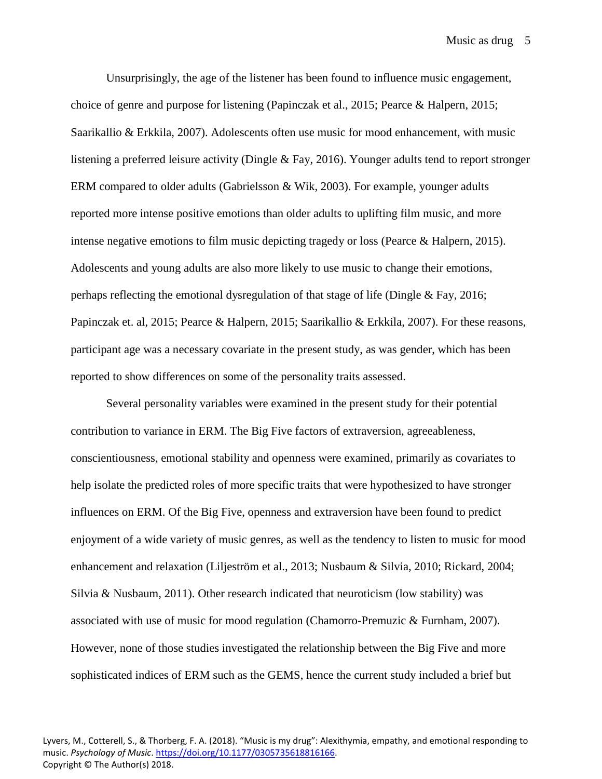Unsurprisingly, the age of the listener has been found to influence music engagement, choice of genre and purpose for listening (Papinczak et al., 2015; Pearce & Halpern, 2015; Saarikallio & Erkkila, 2007). Adolescents often use music for mood enhancement, with music listening a preferred leisure activity (Dingle & Fay, 2016). Younger adults tend to report stronger ERM compared to older adults (Gabrielsson & Wik, 2003). For example, younger adults reported more intense positive emotions than older adults to uplifting film music, and more intense negative emotions to film music depicting tragedy or loss (Pearce & Halpern, 2015). Adolescents and young adults are also more likely to use music to change their emotions, perhaps reflecting the emotional dysregulation of that stage of life (Dingle & Fay, 2016; Papinczak et. al, 2015; Pearce & Halpern, 2015; Saarikallio & Erkkila, 2007). For these reasons, participant age was a necessary covariate in the present study, as was gender, which has been reported to show differences on some of the personality traits assessed.

Several personality variables were examined in the present study for their potential contribution to variance in ERM. The Big Five factors of extraversion, agreeableness, conscientiousness, emotional stability and openness were examined, primarily as covariates to help isolate the predicted roles of more specific traits that were hypothesized to have stronger influences on ERM. Of the Big Five, openness and extraversion have been found to predict enjoyment of a wide variety of music genres, as well as the tendency to listen to music for mood enhancement and relaxation (Liljeström et al., 2013; Nusbaum & Silvia, 2010; Rickard, 2004; Silvia & Nusbaum,  $2011$ ). Other research indicated that neuroticism (low stability) was associated with use of music for mood regulation (Chamorro-Premuzic & Furnham, 2007). However, none of those studies investigated the relationship between the Big Five and more sophisticated indices of ERM such as the GEMS, hence the current study included a brief but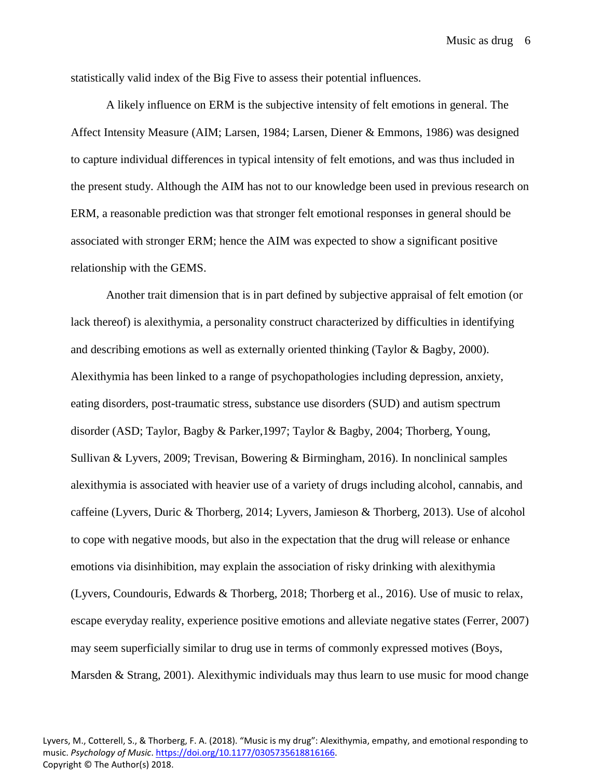statistically valid index of the Big Five to assess their potential influences.

A likely influence on ERM is the subjective intensity of felt emotions in general. The Affect Intensity Measure (AIM; Larsen, 1984; Larsen, Diener & Emmons, 1986) was designed to capture individual differences in typical intensity of felt emotions, and was thus included in the present study. Although the AIM has not to our knowledge been used in previous research on ERM, a reasonable prediction was that stronger felt emotional responses in general should be associated with stronger ERM; hence the AIM was expected to show a significant positive relationship with the GEMS.

Another trait dimension that is in part defined by subjective appraisal of felt emotion (or lack thereof) is alexithymia, a personality construct characterized by difficulties in identifying and describing emotions as well as externally oriented thinking (Taylor & Bagby, 2000). Alexithymia has been linked to a range of psychopathologies including depression, anxiety, eating disorders, post-traumatic stress, substance use disorders (SUD) and autism spectrum disorder (ASD; Taylor, Bagby & Parker,1997; Taylor & Bagby, 2004; Thorberg, Young, Sullivan & Lyvers, 2009; Trevisan, Bowering & Birmingham, 2016). In nonclinical samples alexithymia is associated with heavier use of a variety of drugs including alcohol, cannabis, and caffeine (Lyvers, Duric & Thorberg, 2014; Lyvers, Jamieson & Thorberg, 2013). Use of alcohol to cope with negative moods, but also in the expectation that the drug will release or enhance emotions via disinhibition, may explain the association of risky drinking with alexithymia (Lyvers, Coundouris, Edwards & Thorberg, 2018; Thorberg et al., 2016). Use of music to relax, escape everyday reality, experience positive emotions and alleviate negative states (Ferrer, 2007) may seem superficially similar to drug use in terms of commonly expressed motives (Boys, Marsden & Strang, 2001). Alexithymic individuals may thus learn to use music for mood change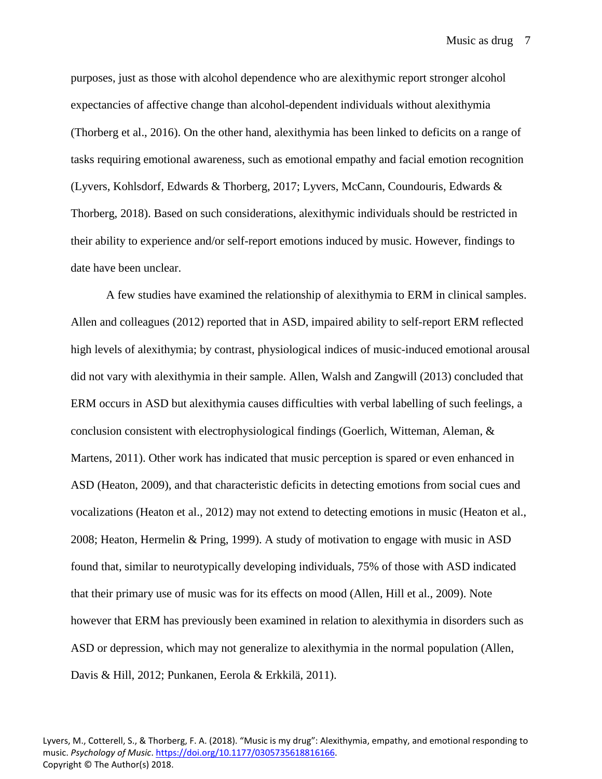purposes, just as those with alcohol dependence who are alexithymic report stronger alcohol expectancies of affective change than alcohol-dependent individuals without alexithymia (Thorberg et al., 2016). On the other hand, alexithymia has been linked to deficits on a range of tasks requiring emotional awareness, such as emotional empathy and facial emotion recognition (Lyvers, Kohlsdorf, Edwards & Thorberg, 2017; Lyvers, McCann, Coundouris, Edwards & Thorberg, 2018). Based on such considerations, alexithymic individuals should be restricted in their ability to experience and/or self-report emotions induced by music. However, findings to date have been unclear.

A few studies have examined the relationship of alexithymia to ERM in clinical samples. Allen and colleagues (2012) reported that in ASD, impaired ability to self-report ERM reflected high levels of alexithymia; by contrast, physiological indices of music-induced emotional arousal did not vary with alexithymia in their sample. Allen, Walsh and Zangwill (2013) concluded that ERM occurs in ASD but alexithymia causes difficulties with verbal labelling of such feelings, a conclusion consistent with electrophysiological findings (Goerlich, Witteman, Aleman, & Martens, 2011). Other work has indicated that music perception is spared or even enhanced in ASD (Heaton, 2009), and that characteristic deficits in detecting emotions from social cues and vocalizations (Heaton et al., 2012) may not extend to detecting emotions in music (Heaton et al., 2008; Heaton, Hermelin & Pring, 1999). A study of motivation to engage with music in ASD found that, similar to neurotypically developing individuals, 75% of those with ASD indicated that their primary use of music was for its effects on mood (Allen, Hill et al., 2009). Note however that ERM has previously been examined in relation to alexithymia in disorders such as ASD or depression, which may not generalize to alexithymia in the normal population (Allen, Davis & Hill, 2012; Punkanen, Eerola & Erkkilä, 2011).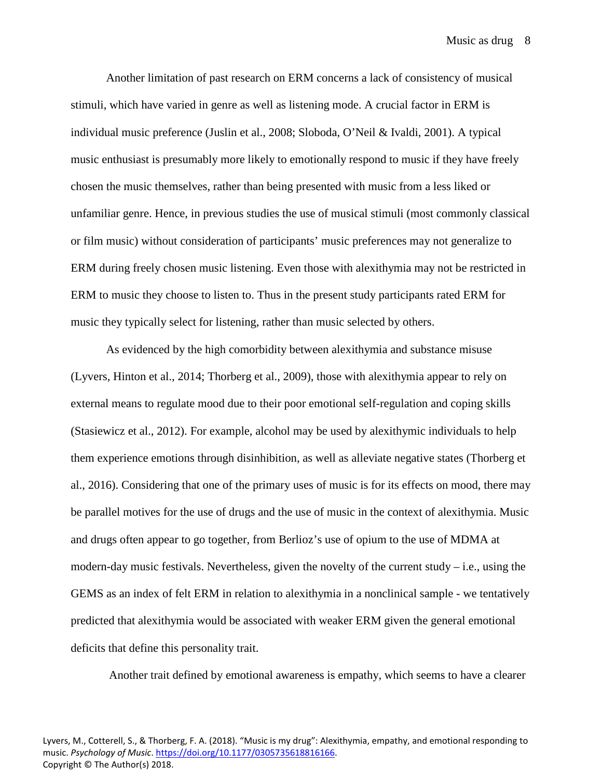Another limitation of past research on ERM concerns a lack of consistency of musical stimuli, which have varied in genre as well as listening mode. A crucial factor in ERM is individual music preference (Juslin et al., 2008; Sloboda, O'Neil & Ivaldi, 2001). A typical music enthusiast is presumably more likely to emotionally respond to music if they have freely chosen the music themselves, rather than being presented with music from a less liked or unfamiliar genre. Hence, in previous studies the use of musical stimuli (most commonly classical or film music) without consideration of participants' music preferences may not generalize to ERM during freely chosen music listening. Even those with alexithymia may not be restricted in ERM to music they choose to listen to. Thus in the present study participants rated ERM for music they typically select for listening, rather than music selected by others.

As evidenced by the high comorbidity between alexithymia and substance misuse (Lyvers, Hinton et al., 2014; Thorberg et al., 2009), those with alexithymia appear to rely on external means to regulate mood due to their poor emotional self-regulation and coping skills (Stasiewicz et al., 2012). For example, alcohol may be used by alexithymic individuals to help them experience emotions through disinhibition, as well as alleviate negative states (Thorberg et al., 2016). Considering that one of the primary uses of music is for its effects on mood, there may be parallel motives for the use of drugs and the use of music in the context of alexithymia. Music and drugs often appear to go together, from Berlioz's use of opium to the use of MDMA at modern-day music festivals. Nevertheless, given the novelty of the current study  $-$  i.e., using the GEMS as an index of felt ERM in relation to alexithymia in a nonclinical sample - we tentatively predicted that alexithymia would be associated with weaker ERM given the general emotional deficits that define this personality trait.

Another trait defined by emotional awareness is empathy, which seems to have a clearer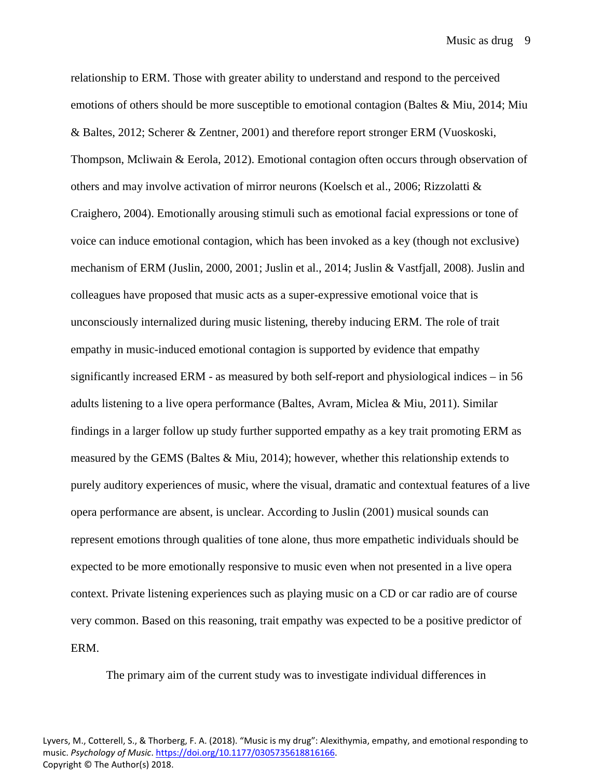relationship to ERM. Those with greater ability to understand and respond to the perceived emotions of others should be more susceptible to emotional contagion (Baltes & Miu, 2014; Miu & Baltes, 2012; Scherer & Zentner, 2001) and therefore report stronger ERM (Vuoskoski, Thompson, Mcliwain & Eerola, 2012). Emotional contagion often occurs through observation of others and may involve activation of mirror neurons (Koelsch et al., 2006; Rizzolatti & Craighero, 2004). Emotionally arousing stimuli such as emotional facial expressions or tone of voice can induce emotional contagion, which has been invoked as a key (though not exclusive) mechanism of ERM (Juslin, 2000, 2001; Juslin et al., 2014; Juslin & Vastfjall, 2008). Juslin and colleagues have proposed that music acts as a super-expressive emotional voice that is unconsciously internalized during music listening, thereby inducing ERM. The role of trait empathy in music-induced emotional contagion is supported by evidence that empathy significantly increased ERM - as measured by both self-report and physiological indices – in 56 adults listening to a live opera performance (Baltes, Avram, Miclea & Miu, 2011). Similar findings in a larger follow up study further supported empathy as a key trait promoting ERM as measured by the GEMS (Baltes & Miu, 2014); however, whether this relationship extends to purely auditory experiences of music, where the visual, dramatic and contextual features of a live opera performance are absent, is unclear. According to Juslin (2001) musical sounds can represent emotions through qualities of tone alone, thus more empathetic individuals should be expected to be more emotionally responsive to music even when not presented in a live opera context. Private listening experiences such as playing music on a CD or car radio are of course very common. Based on this reasoning, trait empathy was expected to be a positive predictor of ERM.

The primary aim of the current study was to investigate individual differences in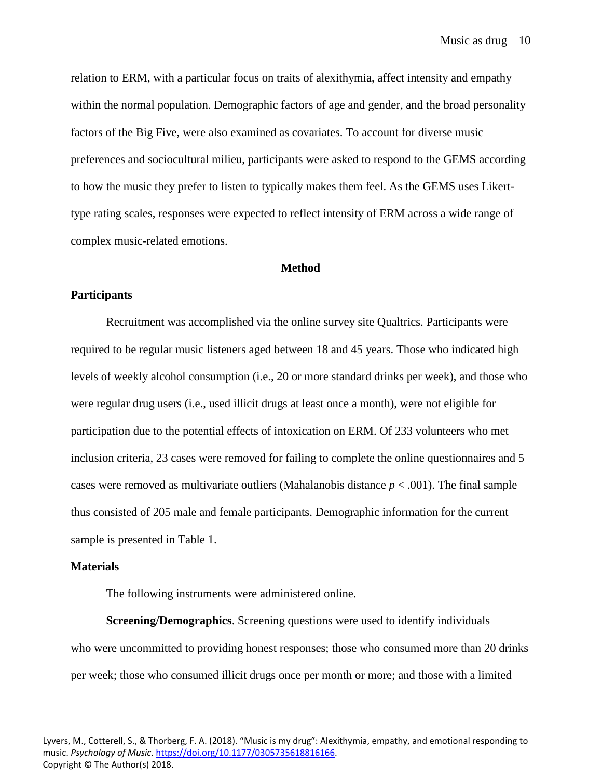relation to ERM, with a particular focus on traits of alexithymia, affect intensity and empathy within the normal population. Demographic factors of age and gender, and the broad personality factors of the Big Five, were also examined as covariates. To account for diverse music preferences and sociocultural milieu, participants were asked to respond to the GEMS according to how the music they prefer to listen to typically makes them feel. As the GEMS uses Likerttype rating scales, responses were expected to reflect intensity of ERM across a wide range of complex music-related emotions.

## **Method**

# **Participants**

Recruitment was accomplished via the online survey site Qualtrics. Participants were required to be regular music listeners aged between 18 and 45 years. Those who indicated high levels of weekly alcohol consumption (i.e., 20 or more standard drinks per week), and those who were regular drug users (i.e., used illicit drugs at least once a month), were not eligible for participation due to the potential effects of intoxication on ERM. Of 233 volunteers who met inclusion criteria, 23 cases were removed for failing to complete the online questionnaires and 5 cases were removed as multivariate outliers (Mahalanobis distance *p* < .001). The final sample thus consisted of 205 male and female participants. Demographic information for the current sample is presented in Table 1.

# **Materials**

The following instruments were administered online.

**Screening/Demographics**. Screening questions were used to identify individuals who were uncommitted to providing honest responses; those who consumed more than 20 drinks per week; those who consumed illicit drugs once per month or more; and those with a limited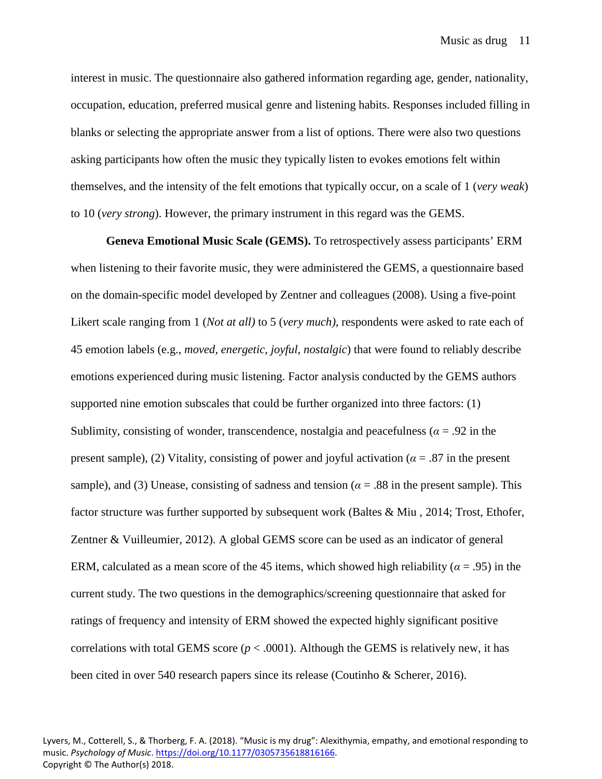interest in music. The questionnaire also gathered information regarding age, gender, nationality, occupation, education, preferred musical genre and listening habits. Responses included filling in blanks or selecting the appropriate answer from a list of options. There were also two questions asking participants how often the music they typically listen to evokes emotions felt within themselves, and the intensity of the felt emotions that typically occur, on a scale of 1 (*very weak*) to 10 (*very strong*). However, the primary instrument in this regard was the GEMS.

**Geneva Emotional Music Scale (GEMS).** To retrospectively assess participants' ERM when listening to their favorite music, they were administered the GEMS, a questionnaire based on the domain-specific model developed by Zentner and colleagues (2008). Using a five-point Likert scale ranging from 1 (*Not at all*) to 5 (*very much*), respondents were asked to rate each of 45 emotion labels (e.g., *moved, energetic, joyful, nostalgic*) that were found to reliably describe emotions experienced during music listening. Factor analysis conducted by the GEMS authors supported nine emotion subscales that could be further organized into three factors: (1) Sublimity, consisting of wonder, transcendence, nostalgia and peacefulness ( $\alpha$  = .92 in the present sample), (2) Vitality, consisting of power and joyful activation ( $\alpha = .87$  in the present sample), and (3) Unease, consisting of sadness and tension ( $\alpha$  = .88 in the present sample). This factor structure was further supported by subsequent work (Baltes & Miu , 2014; Trost, Ethofer, Zentner & Vuilleumier, 2012). A global GEMS score can be used as an indicator of general ERM, calculated as a mean score of the 45 items, which showed high reliability ( $\alpha$  = .95) in the current study. The two questions in the demographics/screening questionnaire that asked for ratings of frequency and intensity of ERM showed the expected highly significant positive correlations with total GEMS score  $(p < .0001)$ . Although the GEMS is relatively new, it has been cited in over 540 research papers since its release (Coutinho & Scherer, 2016).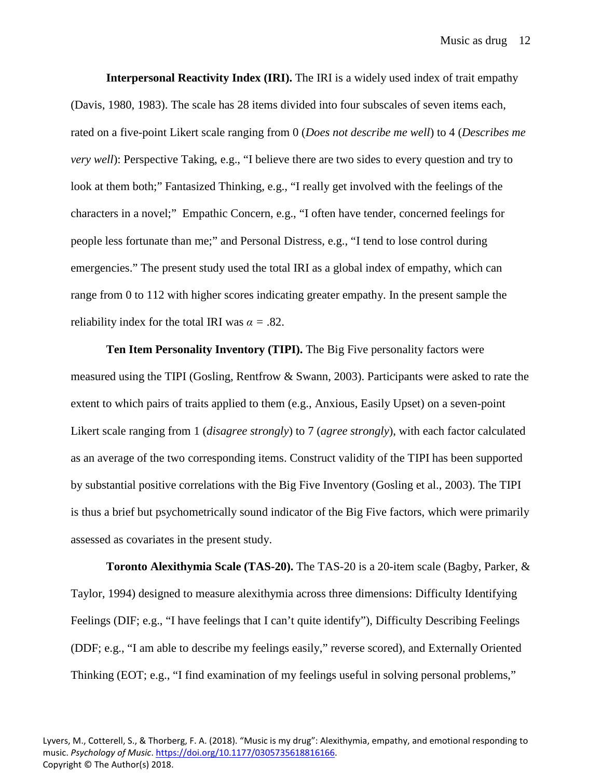**Interpersonal Reactivity Index (IRI).** The IRI is a widely used index of trait empathy (Davis, 1980, 1983). The scale has 28 items divided into four subscales of seven items each, rated on a five-point Likert scale ranging from 0 (*Does not describe me well*) to 4 (*Describes me very well*): Perspective Taking, e.g., "I believe there are two sides to every question and try to look at them both;" Fantasized Thinking, e.g., "I really get involved with the feelings of the characters in a novel;" Empathic Concern, e.g., "I often have tender, concerned feelings for people less fortunate than me;" and Personal Distress, e.g., "I tend to lose control during emergencies." The present study used the total IRI as a global index of empathy, which can range from 0 to 112 with higher scores indicating greater empathy. In the present sample the reliability index for the total IRI was  $\alpha = .82$ .

**Ten Item Personality Inventory (TIPI).** The Big Five personality factors were measured using the TIPI (Gosling, Rentfrow & Swann, 2003). Participants were asked to rate the extent to which pairs of traits applied to them (e.g., Anxious, Easily Upset) on a seven-point Likert scale ranging from 1 (*disagree strongly*) to 7 (*agree strongly*), with each factor calculated as an average of the two corresponding items. Construct validity of the TIPI has been supported by substantial positive correlations with the Big Five Inventory (Gosling et al., 2003). The TIPI is thus a brief but psychometrically sound indicator of the Big Five factors, which were primarily assessed as covariates in the present study.

**Toronto Alexithymia Scale (TAS-20).** The TAS-20 is a 20-item scale (Bagby, Parker, & Taylor, 1994) designed to measure alexithymia across three dimensions: Difficulty Identifying Feelings (DIF; e.g., "I have feelings that I can't quite identify"), Difficulty Describing Feelings (DDF; e.g., "I am able to describe my feelings easily," reverse scored), and Externally Oriented Thinking (EOT; e.g., "I find examination of my feelings useful in solving personal problems,"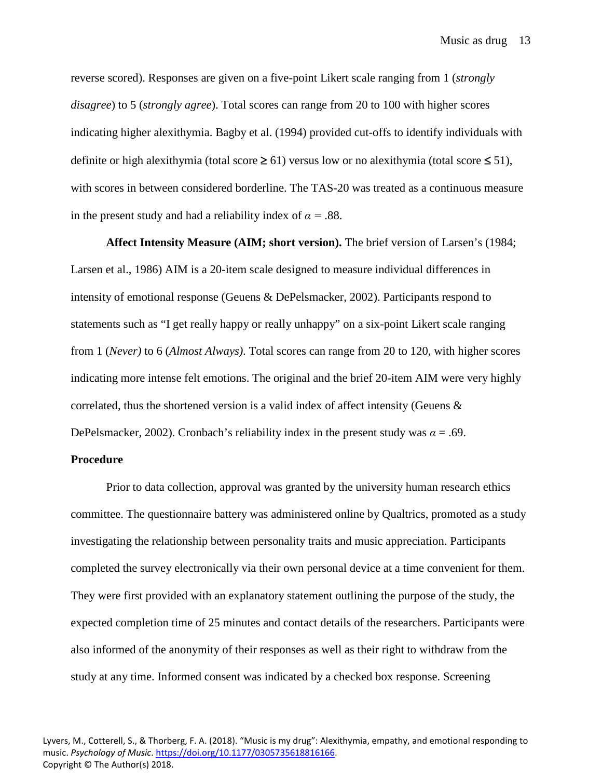reverse scored). Responses are given on a five-point Likert scale ranging from 1 (*strongly disagree*) to 5 (*strongly agree*). Total scores can range from 20 to 100 with higher scores indicating higher alexithymia. Bagby et al. (1994) provided cut-offs to identify individuals with definite or high alexithymia (total score  $\geq 61$ ) versus low or no alexithymia (total score  $\leq 51$ ), with scores in between considered borderline. The TAS-20 was treated as a continuous measure in the present study and had a reliability index of  $\alpha = .88$ .

**Affect Intensity Measure (AIM; short version).** The brief version of Larsen's (1984; Larsen et al., 1986) AIM is a 20-item scale designed to measure individual differences in intensity of emotional response (Geuens & DePelsmacker, 2002). Participants respond to statements such as "I get really happy or really unhappy" on a six-point Likert scale ranging from 1 (*Never)* to 6 (*Almost Always)*. Total scores can range from 20 to 120, with higher scores indicating more intense felt emotions. The original and the brief 20-item AIM were very highly correlated, thus the shortened version is a valid index of affect intensity (Geuens & DePelsmacker, 2002). Cronbach's reliability index in the present study was  $\alpha = .69$ .

# **Procedure**

Prior to data collection, approval was granted by the university human research ethics committee. The questionnaire battery was administered online by Qualtrics, promoted as a study investigating the relationship between personality traits and music appreciation. Participants completed the survey electronically via their own personal device at a time convenient for them. They were first provided with an explanatory statement outlining the purpose of the study, the expected completion time of 25 minutes and contact details of the researchers. Participants were also informed of the anonymity of their responses as well as their right to withdraw from the study at any time. Informed consent was indicated by a checked box response. Screening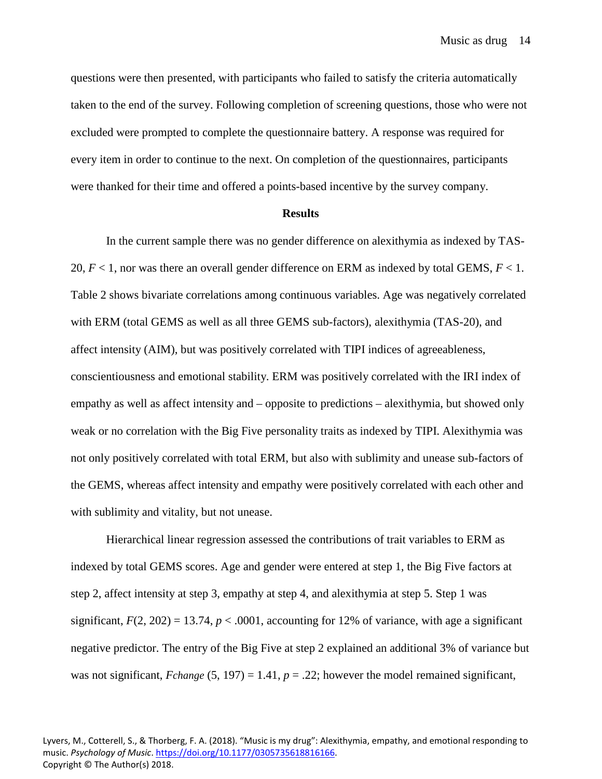Music as drug 14

questions were then presented, with participants who failed to satisfy the criteria automatically taken to the end of the survey. Following completion of screening questions, those who were not excluded were prompted to complete the questionnaire battery. A response was required for every item in order to continue to the next. On completion of the questionnaires, participants were thanked for their time and offered a points-based incentive by the survey company.

#### **Results**

In the current sample there was no gender difference on alexithymia as indexed by TAS-20, *F* < 1, nor was there an overall gender difference on ERM as indexed by total GEMS, *F* < 1. Table 2 shows bivariate correlations among continuous variables. Age was negatively correlated with ERM (total GEMS as well as all three GEMS sub-factors), alexithymia (TAS-20), and affect intensity (AIM), but was positively correlated with TIPI indices of agreeableness, conscientiousness and emotional stability. ERM was positively correlated with the IRI index of empathy as well as affect intensity and – opposite to predictions – alexithymia, but showed only weak or no correlation with the Big Five personality traits as indexed by TIPI. Alexithymia was not only positively correlated with total ERM, but also with sublimity and unease sub-factors of the GEMS, whereas affect intensity and empathy were positively correlated with each other and with sublimity and vitality, but not unease.

Hierarchical linear regression assessed the contributions of trait variables to ERM as indexed by total GEMS scores. Age and gender were entered at step 1, the Big Five factors at step 2, affect intensity at step 3, empathy at step 4, and alexithymia at step 5. Step 1 was significant,  $F(2, 202) = 13.74$ ,  $p < .0001$ , accounting for 12% of variance, with age a significant negative predictor. The entry of the Big Five at step 2 explained an additional 3% of variance but was not significant,  $Fchange (5, 197) = 1.41$ ,  $p = .22$ ; however the model remained significant,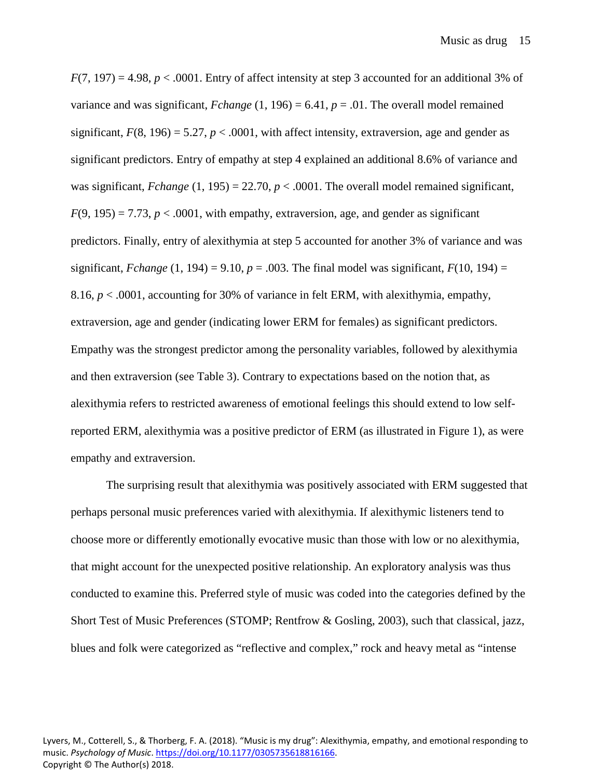$F(7, 197) = 4.98$ ,  $p < .0001$ . Entry of affect intensity at step 3 accounted for an additional 3% of variance and was significant,  $Fchange (1, 196) = 6.41$ ,  $p = .01$ . The overall model remained significant,  $F(8, 196) = 5.27$ ,  $p < .0001$ , with affect intensity, extraversion, age and gender as significant predictors. Entry of empathy at step 4 explained an additional 8.6% of variance and was significant,  $Fchange$  (1, 195) = 22.70,  $p < .0001$ . The overall model remained significant,  $F(9, 195) = 7.73$ ,  $p < .0001$ , with empathy, extraversion, age, and gender as significant predictors. Finally, entry of alexithymia at step 5 accounted for another 3% of variance and was significant, *Fchange* (1, 194) = 9.10,  $p = .003$ . The final model was significant,  $F(10, 194) =$ 8.16, *p* < .0001, accounting for 30% of variance in felt ERM, with alexithymia, empathy, extraversion, age and gender (indicating lower ERM for females) as significant predictors. Empathy was the strongest predictor among the personality variables, followed by alexithymia and then extraversion (see Table 3). Contrary to expectations based on the notion that, as alexithymia refers to restricted awareness of emotional feelings this should extend to low selfreported ERM, alexithymia was a positive predictor of ERM (as illustrated in Figure 1), as were empathy and extraversion.

The surprising result that alexithymia was positively associated with ERM suggested that perhaps personal music preferences varied with alexithymia. If alexithymic listeners tend to choose more or differently emotionally evocative music than those with low or no alexithymia, that might account for the unexpected positive relationship. An exploratory analysis was thus conducted to examine this. Preferred style of music was coded into the categories defined by the Short Test of Music Preferences (STOMP; Rentfrow & Gosling, 2003), such that classical, jazz, blues and folk were categorized as "reflective and complex," rock and heavy metal as "intense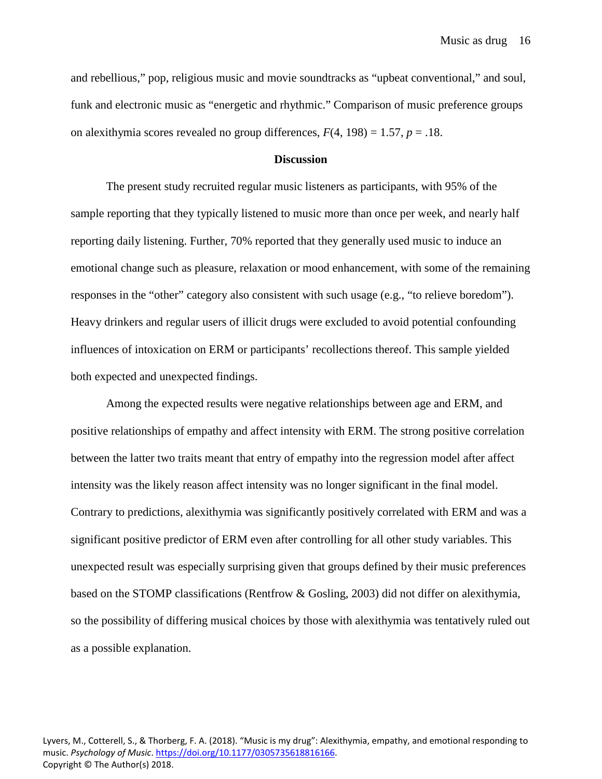and rebellious," pop, religious music and movie soundtracks as "upbeat conventional," and soul, funk and electronic music as "energetic and rhythmic." Comparison of music preference groups on alexithymia scores revealed no group differences,  $F(4, 198) = 1.57$ ,  $p = .18$ .

#### **Discussion**

The present study recruited regular music listeners as participants, with 95% of the sample reporting that they typically listened to music more than once per week, and nearly half reporting daily listening. Further, 70% reported that they generally used music to induce an emotional change such as pleasure, relaxation or mood enhancement, with some of the remaining responses in the "other" category also consistent with such usage (e.g., "to relieve boredom"). Heavy drinkers and regular users of illicit drugs were excluded to avoid potential confounding influences of intoxication on ERM or participants' recollections thereof. This sample yielded both expected and unexpected findings.

Among the expected results were negative relationships between age and ERM, and positive relationships of empathy and affect intensity with ERM. The strong positive correlation between the latter two traits meant that entry of empathy into the regression model after affect intensity was the likely reason affect intensity was no longer significant in the final model. Contrary to predictions, alexithymia was significantly positively correlated with ERM and was a significant positive predictor of ERM even after controlling for all other study variables. This unexpected result was especially surprising given that groups defined by their music preferences based on the STOMP classifications (Rentfrow & Gosling, 2003) did not differ on alexithymia, so the possibility of differing musical choices by those with alexithymia was tentatively ruled out as a possible explanation.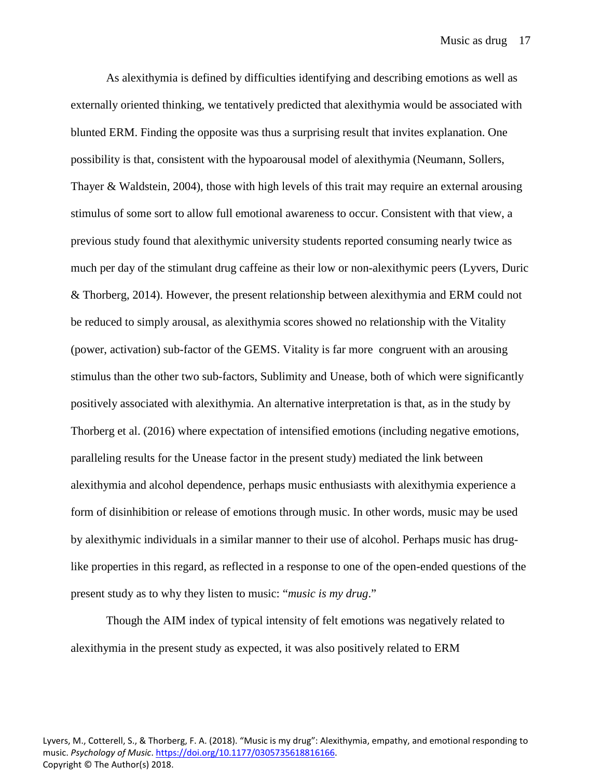As alexithymia is defined by difficulties identifying and describing emotions as well as externally oriented thinking, we tentatively predicted that alexithymia would be associated with blunted ERM. Finding the opposite was thus a surprising result that invites explanation. One possibility is that, consistent with the hypoarousal model of alexithymia (Neumann, Sollers, Thayer & Waldstein, 2004), those with high levels of this trait may require an external arousing stimulus of some sort to allow full emotional awareness to occur. Consistent with that view, a previous study found that alexithymic university students reported consuming nearly twice as much per day of the stimulant drug caffeine as their low or non-alexithymic peers (Lyvers, Duric & Thorberg, 2014). However, the present relationship between alexithymia and ERM could not be reduced to simply arousal, as alexithymia scores showed no relationship with the Vitality (power, activation) sub-factor of the GEMS. Vitality is far more congruent with an arousing stimulus than the other two sub-factors, Sublimity and Unease, both of which were significantly positively associated with alexithymia. An alternative interpretation is that, as in the study by Thorberg et al. (2016) where expectation of intensified emotions (including negative emotions, paralleling results for the Unease factor in the present study) mediated the link between alexithymia and alcohol dependence, perhaps music enthusiasts with alexithymia experience a form of disinhibition or release of emotions through music. In other words, music may be used by alexithymic individuals in a similar manner to their use of alcohol. Perhaps music has druglike properties in this regard, as reflected in a response to one of the open-ended questions of the present study as to why they listen to music: "*music is my drug*."

Though the AIM index of typical intensity of felt emotions was negatively related to alexithymia in the present study as expected, it was also positively related to ERM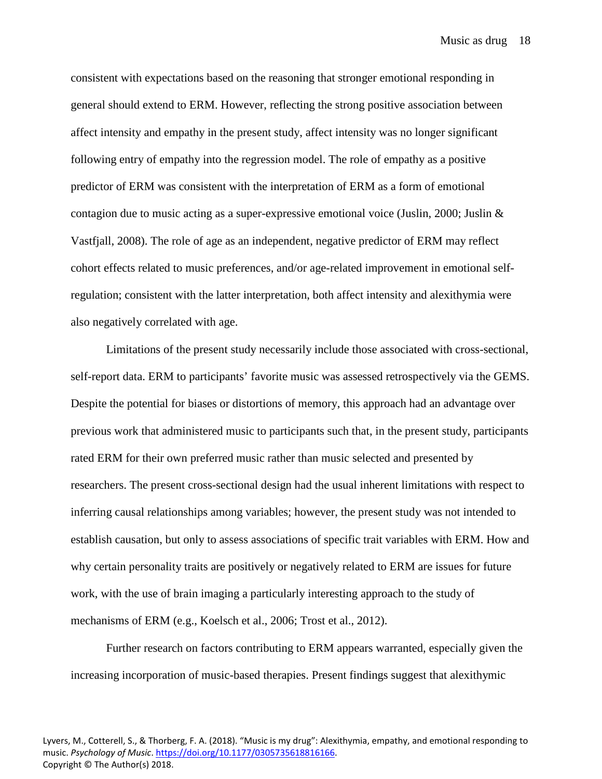Music as drug 18

consistent with expectations based on the reasoning that stronger emotional responding in general should extend to ERM. However, reflecting the strong positive association between affect intensity and empathy in the present study, affect intensity was no longer significant following entry of empathy into the regression model. The role of empathy as a positive predictor of ERM was consistent with the interpretation of ERM as a form of emotional contagion due to music acting as a super-expressive emotional voice (Juslin, 2000; Juslin  $\&$ Vastfjall, 2008). The role of age as an independent, negative predictor of ERM may reflect cohort effects related to music preferences, and/or age-related improvement in emotional selfregulation; consistent with the latter interpretation, both affect intensity and alexithymia were also negatively correlated with age.

Limitations of the present study necessarily include those associated with cross-sectional, self-report data. ERM to participants' favorite music was assessed retrospectively via the GEMS. Despite the potential for biases or distortions of memory, this approach had an advantage over previous work that administered music to participants such that, in the present study, participants rated ERM for their own preferred music rather than music selected and presented by researchers. The present cross-sectional design had the usual inherent limitations with respect to inferring causal relationships among variables; however, the present study was not intended to establish causation, but only to assess associations of specific trait variables with ERM. How and why certain personality traits are positively or negatively related to ERM are issues for future work, with the use of brain imaging a particularly interesting approach to the study of mechanisms of ERM (e.g., Koelsch et al., 2006; Trost et al., 2012).

Further research on factors contributing to ERM appears warranted, especially given the increasing incorporation of music-based therapies. Present findings suggest that alexithymic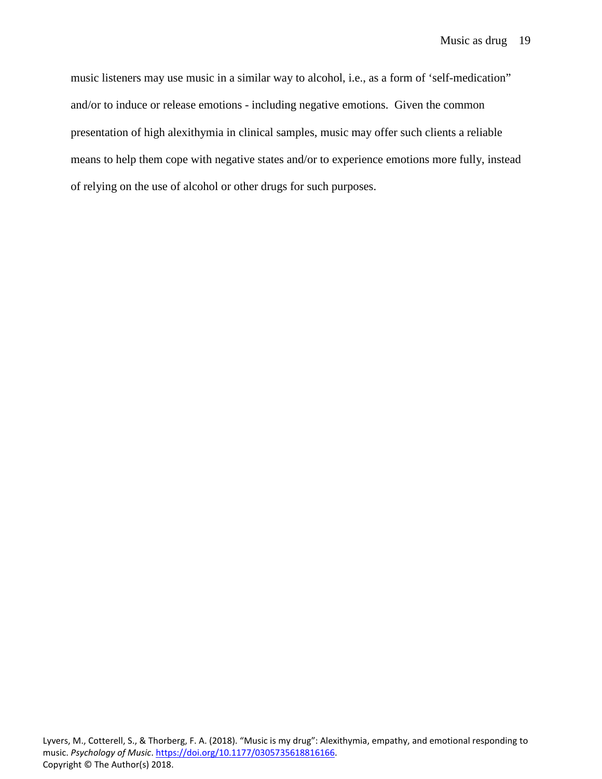music listeners may use music in a similar way to alcohol, i.e., as a form of 'self-medication" and/or to induce or release emotions - including negative emotions. Given the common presentation of high alexithymia in clinical samples, music may offer such clients a reliable means to help them cope with negative states and/or to experience emotions more fully, instead of relying on the use of alcohol or other drugs for such purposes.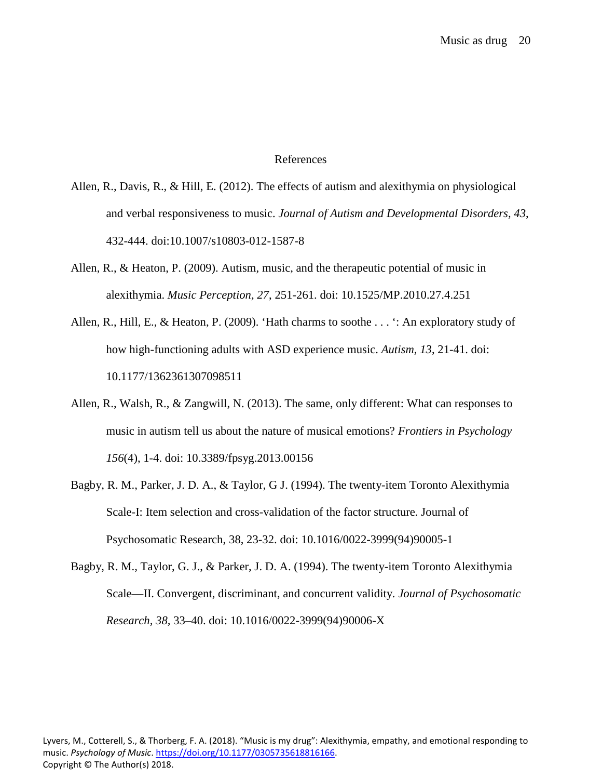### References

- Allen, R., Davis, R., & Hill, E. (2012). The effects of autism and alexithymia on physiological and verbal responsiveness to music. *Journal of Autism and Developmental Disorders, 43*, 432-444. doi:10.1007/s10803-012-1587-8
- Allen, R., & Heaton, P. (2009). Autism, music, and the therapeutic potential of music in alexithymia. *Music Perception, 27*, 251-261. doi: 10.1525/MP.2010.27.4.251
- Allen, R., Hill, E., & Heaton, P. (2009). 'Hath charms to soothe . . . ': An exploratory study of how high-functioning adults with ASD experience music. *Autism, 13*, 21-41. doi: 10.1177/1362361307098511
- Allen, R., Walsh, R., & Zangwill, N. (2013). The same, only different: What can responses to music in autism tell us about the nature of musical emotions? *Frontiers in Psychology 156*(4), 1-4. doi: 10.3389/fpsyg.2013.00156
- Bagby, R. M., Parker, J. D. A., & Taylor, G J. (1994). The twenty-item Toronto Alexithymia Scale-I: Item selection and cross-validation of the factor structure. Journal of Psychosomatic Research, 38, 23-32. doi: 10.1016/0022-3999(94)90005-1
- Bagby, R. M., Taylor, G. J., & Parker, J. D. A. (1994). The twenty-item Toronto Alexithymia Scale—II. Convergent, discriminant, and concurrent validity. *Journal of Psychosomatic Research, 38,* 33–40. doi: 10.1016/0022-3999(94)90006-X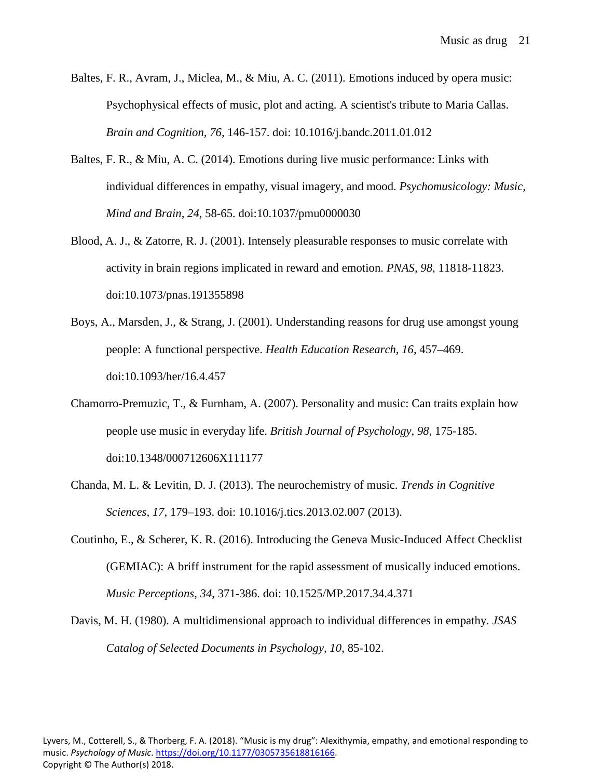- Baltes, F. R., Avram, J., Miclea, M., & Miu, A. C. (2011). Emotions induced by opera music: Psychophysical effects of music, plot and acting. A scientist's tribute to Maria Callas. *Brain and Cognition, 76,* 146-157. doi: 10.1016/j.bandc.2011.01.012
- Baltes, F. R., & Miu, A. C. (2014). Emotions during live music performance: Links with individual differences in empathy, visual imagery, and mood. *Psychomusicology: Music, Mind and Brain, 24*, 58-65. doi:10.1037/pmu0000030
- Blood, A. J., & Zatorre, R. J. (2001). Intensely pleasurable responses to music correlate with activity in brain regions implicated in reward and emotion. *PNAS, 98*, 11818-11823. doi:10.1073/pnas.191355898
- Boys, A., Marsden, J., & Strang, J. (2001). Understanding reasons for drug use amongst young people: A functional perspective. *Health Education Research, 16*, 457–469. doi:10.1093/her/16.4.457
- Chamorro-Premuzic, T., & Furnham, A. (2007). Personality and music: Can traits explain how people use music in everyday life. *British Journal of Psychology, 98*, 175-185. doi:10.1348/000712606X111177
- Chanda, M. L. & Levitin, D. J. (2013). The neurochemistry of music. *Trends in Cognitive Sciences, 17,* 179–193. doi: 10.1016/j.tics.2013.02.007 (2013).
- Coutinho, E., & Scherer, K. R. (2016). Introducing the Geneva Music-Induced Affect Checklist (GEMIAC): A briff instrument for the rapid assessment of musically induced emotions. *Music Perceptions, 34*, 371-386. doi: 10.1525/MP.2017.34.4.371
- Davis, M. H. (1980). A multidimensional approach to individual differences in empathy. *JSAS Catalog of Selected Documents in Psychology, 10*, 85-102.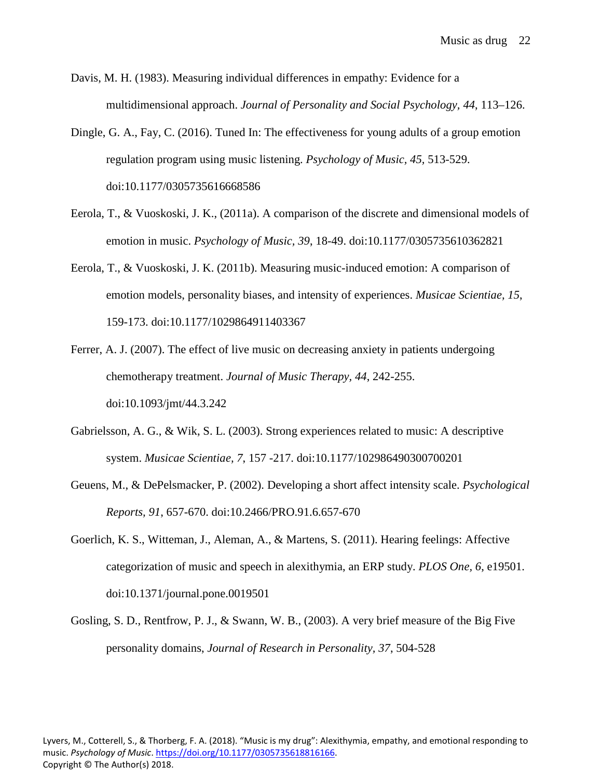Davis, M. H. (1983). Measuring individual differences in empathy: Evidence for a multidimensional approach. *Journal of Personality and Social Psychology, 44*, 113–126.

- Dingle, G. A., Fay, C. (2016). Tuned In: The effectiveness for young adults of a group emotion regulation program using music listening. *Psychology of Music, 45,* 513-529. doi:10.1177/0305735616668586
- Eerola, T., & Vuoskoski, J. K., (2011a). A comparison of the discrete and dimensional models of emotion in music. *Psychology of Music, 39*, 18-49. doi:10.1177/0305735610362821
- Eerola, T., & Vuoskoski, J. K. (2011b). Measuring music-induced emotion: A comparison of emotion models, personality biases, and intensity of experiences. *Musicae Scientiae, 15*, 159-173. doi:10.1177/1029864911403367
- Ferrer, A. J. (2007). The effect of live music on decreasing anxiety in patients undergoing chemotherapy treatment. *Journal of Music Therapy, 44*, 242-255. doi:10.1093/jmt/44.3.242
- Gabrielsson, A. G., & Wik, S. L. (2003). Strong experiences related to music: A descriptive system. *Musicae Scientiae, 7*, 157 -217. doi:10.1177/102986490300700201
- Geuens, M., & DePelsmacker, P. (2002). Developing a short affect intensity scale. *Psychological Reports, 91*, 657-670. doi:10.2466/PRO.91.6.657-670
- Goerlich, K. S., Witteman, J., Aleman, A., & Martens, S. (2011). Hearing feelings: Affective categorization of music and speech in alexithymia, an ERP study. *PLOS One, 6*, e19501. doi:10.1371/journal.pone.0019501
- Gosling, S. D., Rentfrow, P. J., & Swann, W. B., (2003). A very brief measure of the Big Five personality domains, *Journal of Research in Personality, 37*, 504-528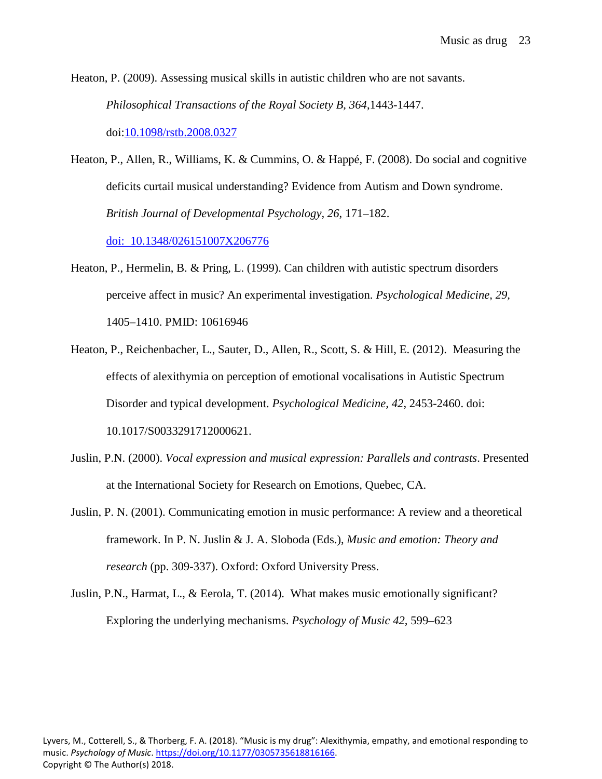Heaton, P. (2009). Assessing musical skills in autistic children who are not savants. *Philosophical Transactions of the Royal Society B, 364*,1443-1447. doi[:10.1098/rstb.2008.0327](https://dx.doi.org/10.1098%2Frstb.2008.0327)

Heaton, P., Allen, R., Williams, K. & Cummins, O. & Happé, F. (2008). Do social and cognitive deficits curtail musical understanding? Evidence from Autism and Down syndrome. *British Journal of Developmental Psychology, 26*, 171–182.

[doi: 10.1348/026151007X206776](http://psycnet.apa.org/doi/10.1348/026151007X206776)

- Heaton, P., Hermelin, B. & Pring, L. (1999). Can children with autistic spectrum disorders perceive affect in music? An experimental investigation. *Psychological Medicine, 29,* 1405–1410. PMID: 10616946
- Heaton, P., Reichenbacher, L., Sauter, D., Allen, R., Scott, S. & Hill, E. (2012). Measuring the effects of alexithymia on perception of emotional vocalisations in Autistic Spectrum Disorder and typical development. *Psychological Medicine, 42*, 2453-2460. doi: 10.1017/S0033291712000621.
- Juslin, P.N. (2000). *Vocal expression and musical expression: Parallels and contrasts*. Presented at the International Society for Research on Emotions, Quebec, CA.
- Juslin, P. N. (2001). Communicating emotion in music performance: A review and a theoretical framework. In P. N. Juslin & J. A. Sloboda (Eds.), *Music and emotion: Theory and research* (pp. 309-337). Oxford: Oxford University Press.
- Juslin, P.N., Harmat, L., & Eerola, T. (2014). What makes music emotionally significant? Exploring the underlying mechanisms. *Psychology of Music 42,* 599–623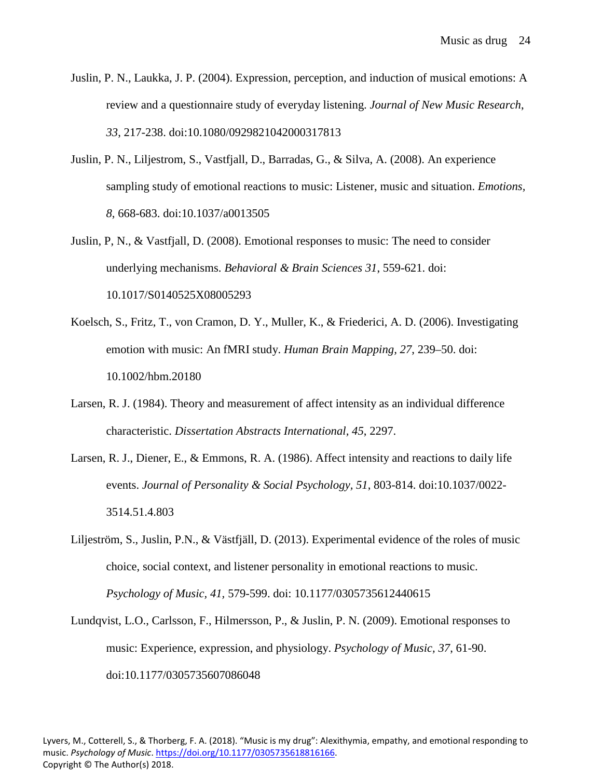- Juslin, P. N., Laukka, J. P. (2004). Expression, perception, and induction of musical emotions: A review and a questionnaire study of everyday listening. *Journal of New Music Research*, *33*, 217-238. doi:10.1080/0929821042000317813
- Juslin, P. N., Liljestrom, S., Vastfjall, D., Barradas, G., & Silva, A. (2008). An experience sampling study of emotional reactions to music: Listener, music and situation. *Emotions, 8*, 668-683. doi:10.1037/a0013505
- Juslin, P, N., & Vastfjall, D. (2008). Emotional responses to music: The need to consider underlying mechanisms. *Behavioral & Brain Sciences 31*, 559-621. doi: 10.1017/S0140525X08005293
- Koelsch, S., Fritz, T., von Cramon, D. Y., Muller, K., & Friederici, A. D. (2006). Investigating emotion with music: An fMRI study. *Human Brain Mapping, 27*, 239–50. doi: 10.1002/hbm.20180
- Larsen, R. J. (1984). Theory and measurement of affect intensity as an individual difference characteristic. *Dissertation Abstracts International, 45*, 2297.
- Larsen, R. J., Diener, E., & Emmons, R. A. (1986). Affect intensity and reactions to daily life events. *Journal of Personality & Social Psychology, 51*, 803-814. doi:10.1037/0022- 3514.51.4.803
- Liljeström, S., Juslin, P.N., & Västfjäll, D. (2013). Experimental evidence of the roles of music choice, social context, and listener personality in emotional reactions to music. *Psychology of Music, 41,* 579-599. doi: 10.1177/0305735612440615
- Lundqvist, L.O., Carlsson, F., Hilmersson, P., & Juslin, P. N. (2009). Emotional responses to music: Experience, expression, and physiology. *Psychology of Music, 37*, 61-90. doi:10.1177/0305735607086048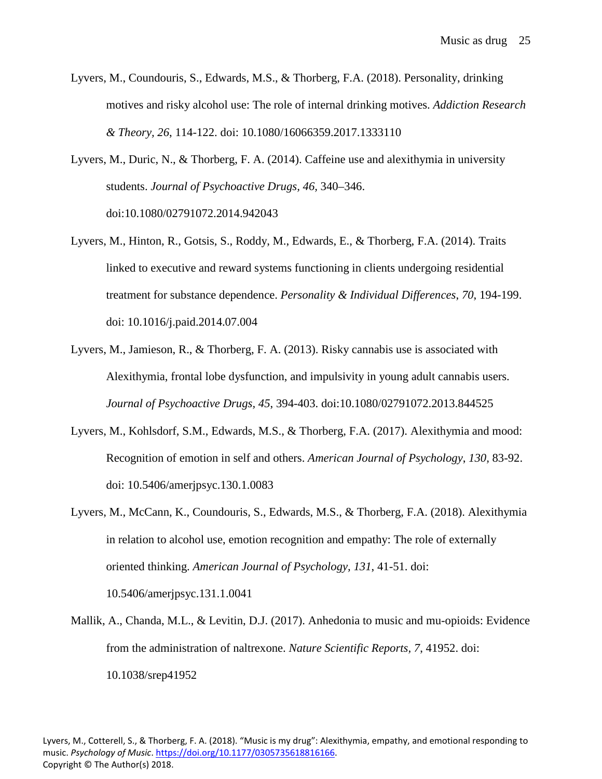- Lyvers, M., Coundouris, S., Edwards, M.S., & Thorberg, F.A. (2018). Personality, drinking motives and risky alcohol use: The role of internal drinking motives. *Addiction Research & Theory, 26*, 114-122. doi: 10.1080/16066359.2017.1333110
- Lyvers, M., Duric, N., & Thorberg, F. A. (2014). Caffeine use and alexithymia in university students. *Journal of Psychoactive Drugs, 46,* 340–346. doi:10.1080/02791072.2014.942043
- Lyvers, M., Hinton, R., Gotsis, S., Roddy, M., Edwards, E., & Thorberg, F.A. (2014). Traits linked to executive and reward systems functioning in clients undergoing residential treatment for substance dependence. *Personality & Individual Differences*, *70*, 194-199. doi: 10.1016/j.paid.2014.07.004
- Lyvers, M., Jamieson, R., & Thorberg, F. A. (2013). Risky cannabis use is associated with Alexithymia, frontal lobe dysfunction, and impulsivity in young adult cannabis users. *Journal of Psychoactive Drugs, 45*, 394-403. doi:10.1080/02791072.2013.844525
- Lyvers, M., Kohlsdorf, S.M., Edwards, M.S., & Thorberg, F.A. (2017). Alexithymia and mood: Recognition of emotion in self and others. *American Journal of Psychology*, *130,* 83-92. doi: 10.5406/amerjpsyc.130.1.0083
- Lyvers, M., McCann, K., Coundouris, S., Edwards, M.S., & Thorberg, F.A. (2018). Alexithymia in relation to alcohol use, emotion recognition and empathy: The role of externally oriented thinking. *American Journal of Psychology, 131*, 41-51. doi: 10.5406/amerjpsyc.131.1.0041
- Mallik, A., Chanda, M.L., & Levitin, D.J. (2017). Anhedonia to music and mu-opioids: Evidence from the administration of naltrexone. *Nature Scientific Reports, 7*, 41952. doi: 10.1038/srep41952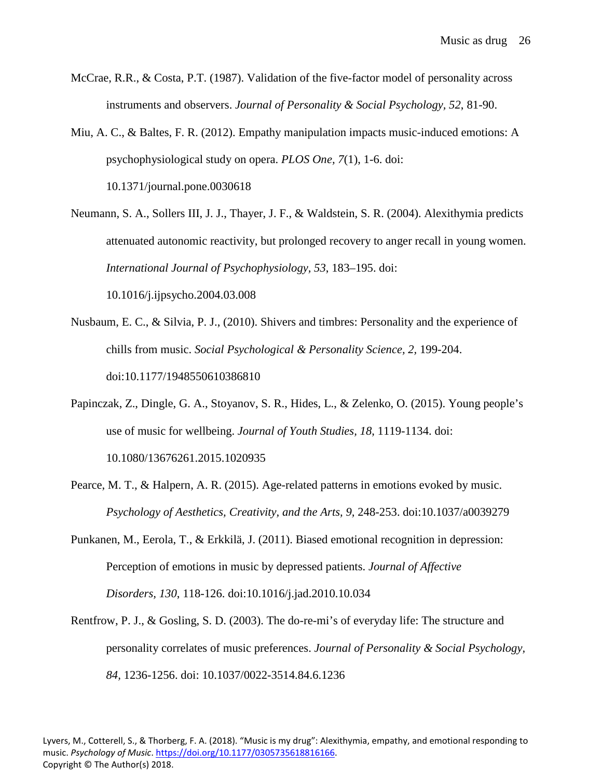- McCrae, R.R., & Costa, P.T. (1987). Validation of the five-factor model of personality across instruments and observers. *Journal of Personality & Social Psychology, 52*, 81-90.
- Miu, A. C., & Baltes, F. R. (2012). Empathy manipulation impacts music-induced emotions: A psychophysiological study on opera. *PLOS One, 7*(1), 1-6. doi: 10.1371/journal.pone.0030618
- Neumann, S. A., Sollers III, J. J., Thayer, J. F., & Waldstein, S. R. (2004). Alexithymia predicts attenuated autonomic reactivity, but prolonged recovery to anger recall in young women. *International Journal of Psychophysiology, 53*, 183–195. doi: 10.1016/j.ijpsycho.2004.03.008
- Nusbaum, E. C., & Silvia, P. J., (2010). Shivers and timbres: Personality and the experience of chills from music. *Social Psychological & Personality Science, 2,* 199-204. doi:10.1177/1948550610386810
- Papinczak, Z., Dingle, G. A., Stoyanov, S. R., Hides, L., & Zelenko, O. (2015). Young people's use of music for wellbeing. *Journal of Youth Studies, 18*, 1119-1134. doi: 10.1080/13676261.2015.1020935
- Pearce, M. T., & Halpern, A. R. (2015). Age-related patterns in emotions evoked by music. *Psychology of Aesthetics, Creativity, and the Arts, 9, 248-253. doi:10.1037/a0039279*
- Punkanen, M., Eerola, T., & Erkkilä, J. (2011). Biased emotional recognition in depression: Perception of emotions in music by depressed patients. *Journal of Affective Disorders, 130*, 118-126. doi:10.1016/j.jad.2010.10.034
- Rentfrow, P. J., & Gosling, S. D. (2003). The do-re-mi's of everyday life: The structure and personality correlates of music preferences. *Journal of Personality & Social Psychology, 84,* 1236-1256. doi: 10.1037/0022-3514.84.6.1236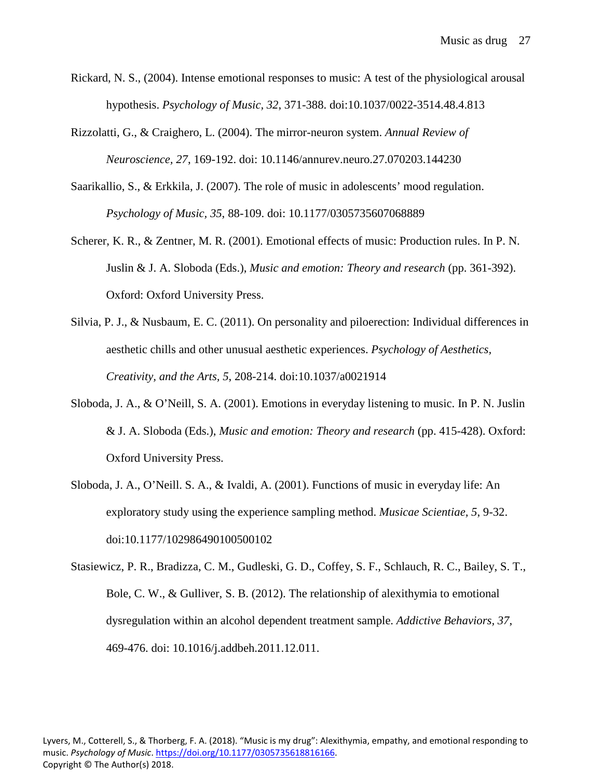- Rickard, N. S., (2004). Intense emotional responses to music: A test of the physiological arousal hypothesis. *Psychology of Music, 32*, 371-388. doi:10.1037/0022-3514.48.4.813
- Rizzolatti, G., & Craighero, L. (2004). The mirror-neuron system. *Annual Review of Neuroscience, 27*, 169-192. doi: 10.1146/annurev.neuro.27.070203.144230
- Saarikallio, S., & Erkkila, J. (2007). The role of music in adolescents' mood regulation. *Psychology of Music, 35*, 88-109. doi: 10.1177/0305735607068889
- Scherer, K. R., & Zentner, M. R. (2001). Emotional effects of music: Production rules. In P. N. Juslin & J. A. Sloboda (Eds.), *Music and emotion: Theory and research* (pp. 361-392). Oxford: Oxford University Press.
- Silvia, P. J., & Nusbaum, E. C. (2011). On personality and piloerection: Individual differences in aesthetic chills and other unusual aesthetic experiences. *Psychology of Aesthetics, Creativity, and the Arts, 5*, 208-214. doi:10.1037/a0021914
- Sloboda, J. A., & O'Neill, S. A. (2001). Emotions in everyday listening to music. In P. N. Juslin & J. A. Sloboda (Eds.), *Music and emotion: Theory and research* (pp. 415-428). Oxford: Oxford University Press.
- Sloboda, J. A., O'Neill. S. A., & Ivaldi, A. (2001). Functions of music in everyday life: An exploratory study using the experience sampling method. *Musicae Scientiae, 5*, 9-32. doi:10.1177/102986490100500102
- Stasiewicz, P. R., Bradizza, C. M., Gudleski, G. D., Coffey, S. F., Schlauch, R. C., Bailey, S. T., Bole, C. W., & Gulliver, S. B. (2012). The relationship of alexithymia to emotional dysregulation within an alcohol dependent treatment sample. *Addictive Behaviors, 37*, 469-476. doi: 10.1016/j.addbeh.2011.12.011.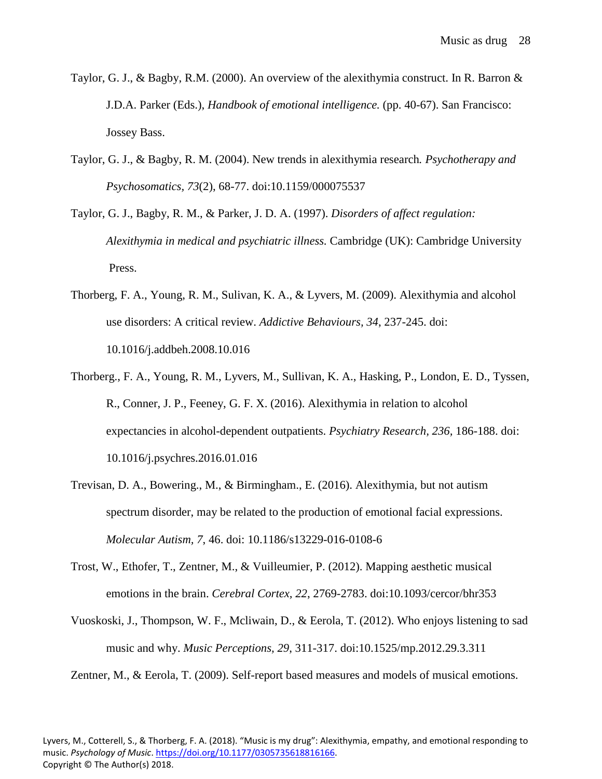- Taylor, G. J., & Bagby, R.M. (2000). An overview of the alexithymia construct. In R. Barron & J.D.A. Parker (Eds.), *Handbook of emotional intelligence.* (pp. 40-67). San Francisco: Jossey Bass.
- Taylor, G. J., & Bagby, R. M. (2004). New trends in alexithymia research*. Psychotherapy and Psychosomatics, 73*(2), 68-77. doi:10.1159/000075537
- Taylor, G. J., Bagby, R. M., & Parker, J. D. A. (1997). *Disorders of affect regulation: Alexithymia in medical and psychiatric illness.* Cambridge (UK): Cambridge University Press.
- Thorberg, F. A., Young, R. M., Sulivan, K. A., & Lyvers, M. (2009). Alexithymia and alcohol use disorders: A critical review. *Addictive Behaviours, 34*, 237-245. doi: 10.1016/j.addbeh.2008.10.016
- Thorberg., F. A., Young, R. M., Lyvers, M., Sullivan, K. A., Hasking, P., London, E. D., Tyssen, R., Conner, J. P., Feeney, G. F. X. (2016). Alexithymia in relation to alcohol expectancies in alcohol-dependent outpatients. *Psychiatry Research, 236,* 186-188. doi: 10.1016/j.psychres.2016.01.016
- Trevisan, D. A., Bowering., M., & Birmingham., E. (2016). Alexithymia, but not autism spectrum disorder, may be related to the production of emotional facial expressions. *Molecular Autism, 7*, 46. doi: 10.1186/s13229-016-0108-6
- Trost, W., Ethofer, T., Zentner, M., & Vuilleumier, P. (2012). Mapping aesthetic musical emotions in the brain. *Cerebral Cortex, 22*, 2769-2783. doi:10.1093/cercor/bhr353
- Vuoskoski, J., Thompson, W. F., Mcliwain, D., & Eerola, T. (2012). Who enjoys listening to sad music and why. *Music Perceptions, 29*, 311-317. doi:10.1525/mp.2012.29.3.311

Zentner, M., & Eerola, T. (2009). Self-report based measures and models of musical emotions.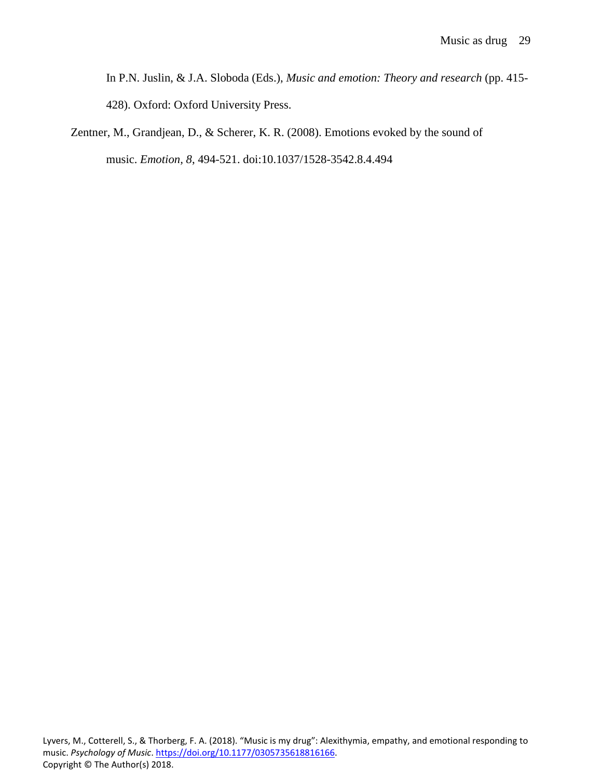In P.N. Juslin, & J.A. Sloboda (Eds.), *Music and emotion: Theory and research* (pp. 415- 428). Oxford: Oxford University Press.

Zentner, M., Grandjean, D., & Scherer, K. R. (2008). Emotions evoked by the sound of music. *Emotion, 8*, 494-521. doi:10.1037/1528-3542.8.4.494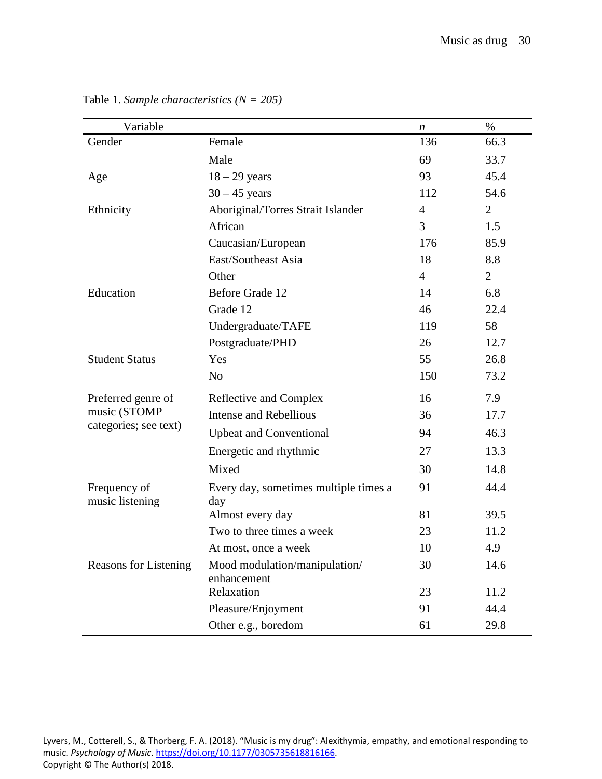| Variable                                                    |                                              | n              | $\%$           |
|-------------------------------------------------------------|----------------------------------------------|----------------|----------------|
| Gender                                                      | Female                                       | 136            | 66.3           |
|                                                             | Male                                         | 69             | 33.7           |
| Age                                                         | $18 - 29$ years                              | 93             | 45.4           |
|                                                             | $30 - 45$ years                              | 112            | 54.6           |
| Ethnicity                                                   | Aboriginal/Torres Strait Islander            | $\overline{4}$ | $\overline{2}$ |
|                                                             | African                                      | 3              | 1.5            |
|                                                             | Caucasian/European                           | 176            | 85.9           |
|                                                             | East/Southeast Asia                          | 18             | 8.8            |
|                                                             | Other                                        | $\overline{4}$ | $\overline{2}$ |
| Education                                                   | Before Grade 12                              | 14             | 6.8            |
|                                                             | Grade 12                                     | 46             | 22.4           |
|                                                             | Undergraduate/TAFE                           | 119            | 58             |
|                                                             | Postgraduate/PHD                             | 26             | 12.7           |
| <b>Student Status</b>                                       | Yes                                          | 55             | 26.8           |
|                                                             | N <sub>o</sub>                               | 150            | 73.2           |
| Preferred genre of<br>music (STOMP<br>categories; see text) | Reflective and Complex                       | 16             | 7.9            |
|                                                             | <b>Intense and Rebellious</b>                | 36             | 17.7           |
|                                                             | <b>Upbeat and Conventional</b>               | 94             | 46.3           |
|                                                             | Energetic and rhythmic                       | 27             | 13.3           |
|                                                             | Mixed                                        | 30             | 14.8           |
| Frequency of<br>music listening                             | Every day, sometimes multiple times a<br>day | 91             | 44.4           |
|                                                             | Almost every day                             | 81             | 39.5           |
|                                                             | Two to three times a week                    | 23             | 11.2           |
|                                                             | At most, once a week                         | 10             | 4.9            |
| <b>Reasons for Listening</b>                                | Mood modulation/manipulation/<br>enhancement | 30             | 14.6           |
|                                                             | Relaxation                                   | 23             | 11.2           |
|                                                             | Pleasure/Enjoyment                           | 91             | 44.4           |
|                                                             | Other e.g., boredom                          | 61             | 29.8           |

Table 1. *Sample characteristics (N = 205)*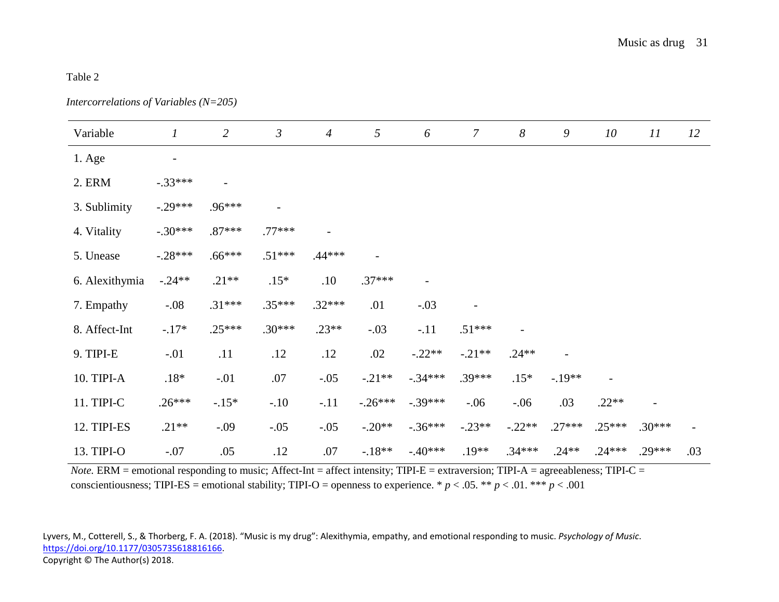# Table 2

*Intercorrelations of Variables (N=205)*

| Variable       | $\boldsymbol{l}$         | $\overline{2}$ | $\mathfrak{Z}$    | $\overline{4}$ | 5         | 6         | $\boldsymbol{7}$ | $\boldsymbol{8}$ | 9        | 10       | 11       | 12  |
|----------------|--------------------------|----------------|-------------------|----------------|-----------|-----------|------------------|------------------|----------|----------|----------|-----|
| 1. Age         | $\overline{\phantom{a}}$ |                |                   |                |           |           |                  |                  |          |          |          |     |
| 2. ERM         | $-.33***$                |                |                   |                |           |           |                  |                  |          |          |          |     |
| 3. Sublimity   | $-.29***$                | .96***         | $\qquad \qquad -$ |                |           |           |                  |                  |          |          |          |     |
| 4. Vitality    | $-.30***$                | $.87***$       | $.77***$          |                |           |           |                  |                  |          |          |          |     |
| 5. Unease      | $-.28***$                | $.66***$       | $.51***$          | $.44***$       |           |           |                  |                  |          |          |          |     |
| 6. Alexithymia | $-.24**$                 | $.21**$        | $.15*$            | .10            | $.37***$  |           |                  |                  |          |          |          |     |
| 7. Empathy     | $-.08$                   | $.31***$       | $.35***$          | $.32***$       | .01       | $-.03$    |                  |                  |          |          |          |     |
| 8. Affect-Int  | $-.17*$                  | $.25***$       | $.30***$          | $.23**$        | $-.03$    | $-.11$    | $.51***$         |                  |          |          |          |     |
| 9. TIPI-E      | $-.01$                   | .11            | .12               | .12            | .02       | $-.22**$  | $-.21**$         | $.24**$          |          |          |          |     |
| 10. TIPI-A     | $.18*$                   | $-.01$         | .07               | $-.05$         | $-.21**$  | $-.34***$ | $.39***$         | $.15*$           | $-19**$  |          |          |     |
| 11. TIPI-C     | $.26***$                 | $-.15*$        | $-.10$            | $-.11$         | $-.26***$ | $-.39***$ | $-.06$           | $-.06$           | .03      | $.22**$  |          |     |
| 12. TIPI-ES    | $.21**$                  | $-.09$         | $-.05$            | $-.05$         | $-.20**$  | $-.36***$ | $-.23**$         | $-.22**$         | $.27***$ | $.25***$ | $.30***$ |     |
| 13. TIPI-O     | $-.07$                   | .05            | .12               | $.07\,$        | $-.18**$  | $-.40***$ | $.19**$          | $.34***$         | $.24**$  | $.24***$ | $.29***$ | .03 |

*Note.* ERM = emotional responding to music; Affect-Int = affect intensity; TIPI-E = extraversion; TIPI-A = agreeableness; TIPI-C = conscientiousness; TIPI-ES = emotional stability; TIPI-O = openness to experience. \*  $p < .05$ . \*\*  $p < .01$ . \*\*\*  $p < .001$ 

Lyvers, M., Cotterell, S., & Thorberg, F. A. (2018). "Music is my drug": Alexithymia, empathy, and emotional responding to music. *Psychology of Music*. [https://doi.org/10.1177/0305735618816166.](https://doi.org/10.1177/0305735618816166) Copyright © The Author(s) 2018.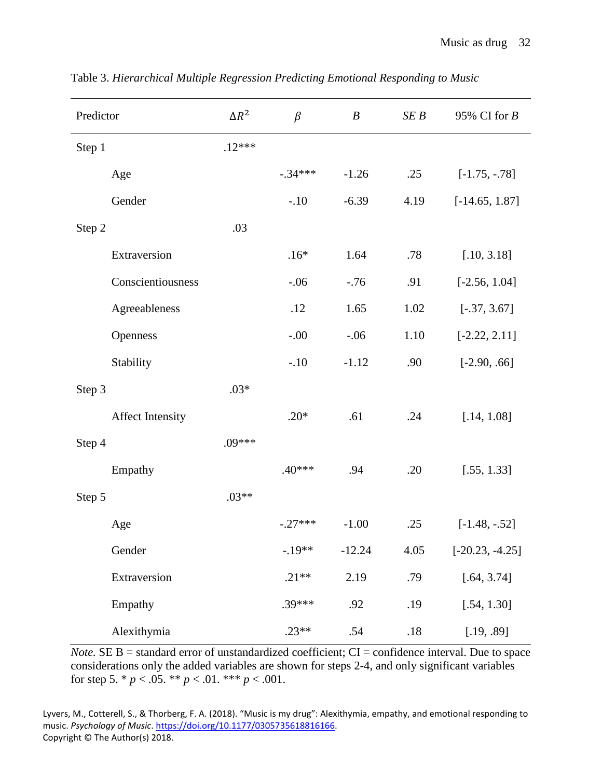| Predictor               | $\Delta R^2$ | $\beta$   | $\boldsymbol{B}$ | SEB  | 95% CI for $B$    |
|-------------------------|--------------|-----------|------------------|------|-------------------|
| Step 1                  | $.12***$     |           |                  |      |                   |
| Age                     |              | $-.34***$ | $-1.26$          | .25  | $[-1.75, -.78]$   |
| Gender                  |              | $-.10$    | $-6.39$          | 4.19 | $[-14.65, 1.87]$  |
| Step 2                  | .03          |           |                  |      |                   |
| Extraversion            |              | $.16*$    | 1.64             | .78  | [.10, 3.18]       |
| Conscientiousness       |              | $-.06$    | $-.76$           | .91  | $[-2.56, 1.04]$   |
| Agreeableness           |              | .12       | 1.65             | 1.02 | $[-.37, 3.67]$    |
| Openness                |              | $-.00$    | $-.06$           | 1.10 | $[-2.22, 2.11]$   |
| Stability               |              | $-.10$    | $-1.12$          | .90  | $[-2.90, .66]$    |
| Step 3                  | $.03*$       |           |                  |      |                   |
| <b>Affect Intensity</b> |              | $.20*$    | .61              | .24  | [.14, 1.08]       |
| Step 4                  | $.09***$     |           |                  |      |                   |
| Empathy                 |              | .40***    | .94              | .20  | [.55, 1.33]       |
| Step 5                  | $.03**$      |           |                  |      |                   |
| Age                     |              | $-.27***$ | $-1.00$          | .25  | $[-1.48, -0.52]$  |
| Gender                  |              | $-.19**$  | $-12.24$         | 4.05 | $[-20.23, -4.25]$ |
| Extraversion            |              | $.21**$   | 2.19             | .79  | [.64, 3.74]       |
| Empathy                 |              | $.39***$  | .92              | .19  | [.54, 1.30]       |
| Alexithymia             |              | $.23**$   | .54              | .18  | [.19, .89]        |

Table 3. *Hierarchical Multiple Regression Predicting Emotional Responding to Music*

*Note.* SE  $B =$  standard error of unstandardized coefficient;  $CI =$  confidence interval. Due to space considerations only the added variables are shown for steps 2-4, and only significant variables for step 5.  $* p < .05$ .  $** p < .01$ .  $*** p < .001$ .